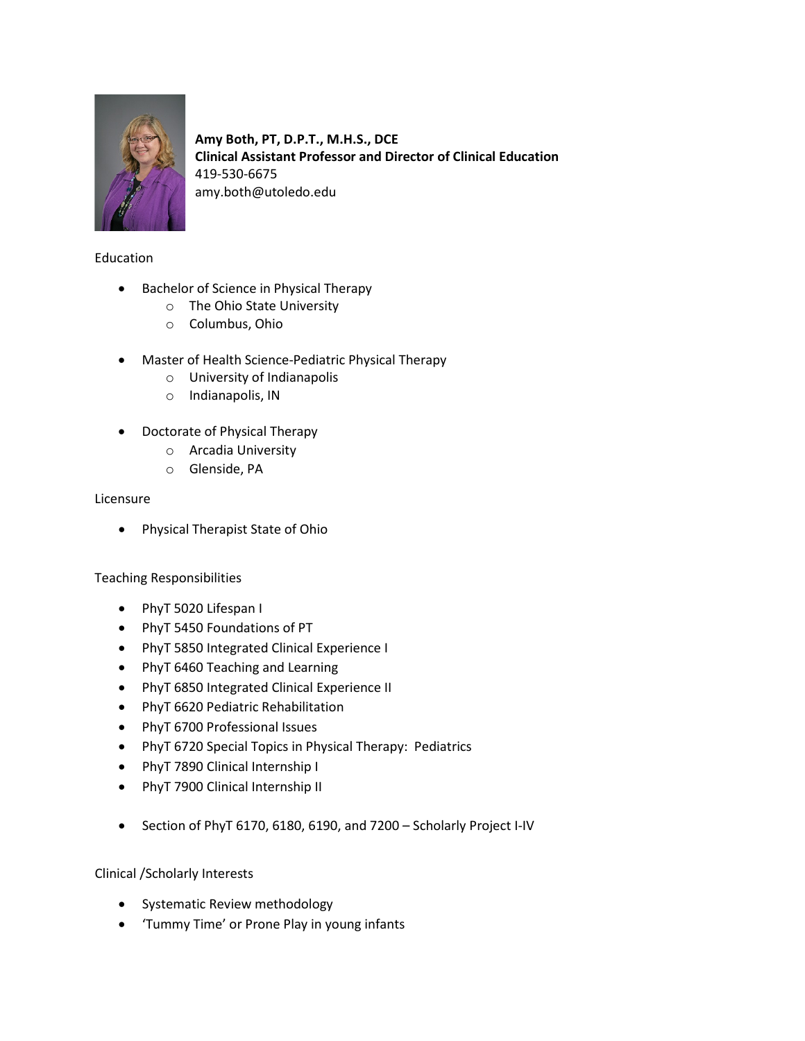

**Amy Both, PT, D.P.T., M.H.S., DCE Clinical Assistant Professor and Director of Clinical Education** 419-530-6675 amy.both@utoledo.edu

# Education

- Bachelor of Science in Physical Therapy
	- o The Ohio State University
	- o Columbus, Ohio
- Master of Health Science-Pediatric Physical Therapy
	- o University of Indianapolis
	- o Indianapolis, IN
- Doctorate of Physical Therapy
	- o Arcadia University
	- o Glenside, PA

#### Licensure

• Physical Therapist State of Ohio

#### Teaching Responsibilities

- PhyT 5020 Lifespan I
- PhyT 5450 Foundations of PT
- PhyT 5850 Integrated Clinical Experience I
- PhyT 6460 Teaching and Learning
- PhyT 6850 Integrated Clinical Experience II
- PhyT 6620 Pediatric Rehabilitation
- PhyT 6700 Professional Issues
- PhyT 6720 Special Topics in Physical Therapy: Pediatrics
- PhyT 7890 Clinical Internship I
- PhyT 7900 Clinical Internship II
- Section of PhyT 6170, 6180, 6190, and 7200 Scholarly Project I-IV

#### Clinical /Scholarly Interests

- Systematic Review methodology
- 'Tummy Time' or Prone Play in young infants